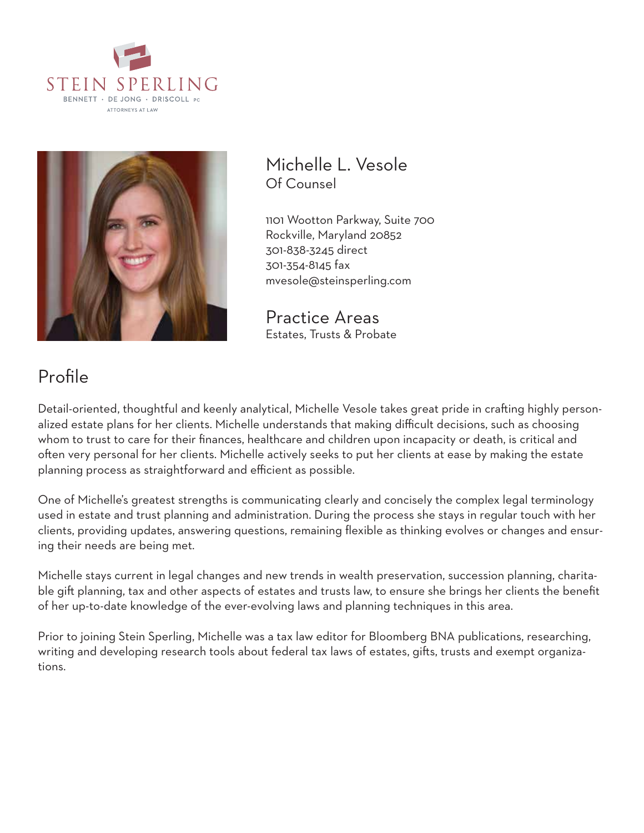



Michelle L. Vesole Of Counsel

1101 Wootton Parkway, Suite 700 Rockville, Maryland 20852 301-838-3245 direct 301-354-8145 fax mvesole@steinsperling.com

Practice Areas Estates, Trusts & Probate

# Profile

Detail-oriented, thoughtful and keenly analytical, Michelle Vesole takes great pride in crafting highly personalized estate plans for her clients. Michelle understands that making difficult decisions, such as choosing whom to trust to care for their finances, healthcare and children upon incapacity or death, is critical and often very personal for her clients. Michelle actively seeks to put her clients at ease by making the estate planning process as straightforward and efficient as possible.

One of Michelle's greatest strengths is communicating clearly and concisely the complex legal terminology used in estate and trust planning and administration. During the process she stays in regular touch with her clients, providing updates, answering questions, remaining flexible as thinking evolves or changes and ensuring their needs are being met.

Michelle stays current in legal changes and new trends in wealth preservation, succession planning, charitable gift planning, tax and other aspects of estates and trusts law, to ensure she brings her clients the benefit of her up-to-date knowledge of the ever-evolving laws and planning techniques in this area.

Prior to joining Stein Sperling, Michelle was a tax law editor for Bloomberg BNA publications, researching, writing and developing research tools about federal tax laws of estates, gifts, trusts and exempt organizations.